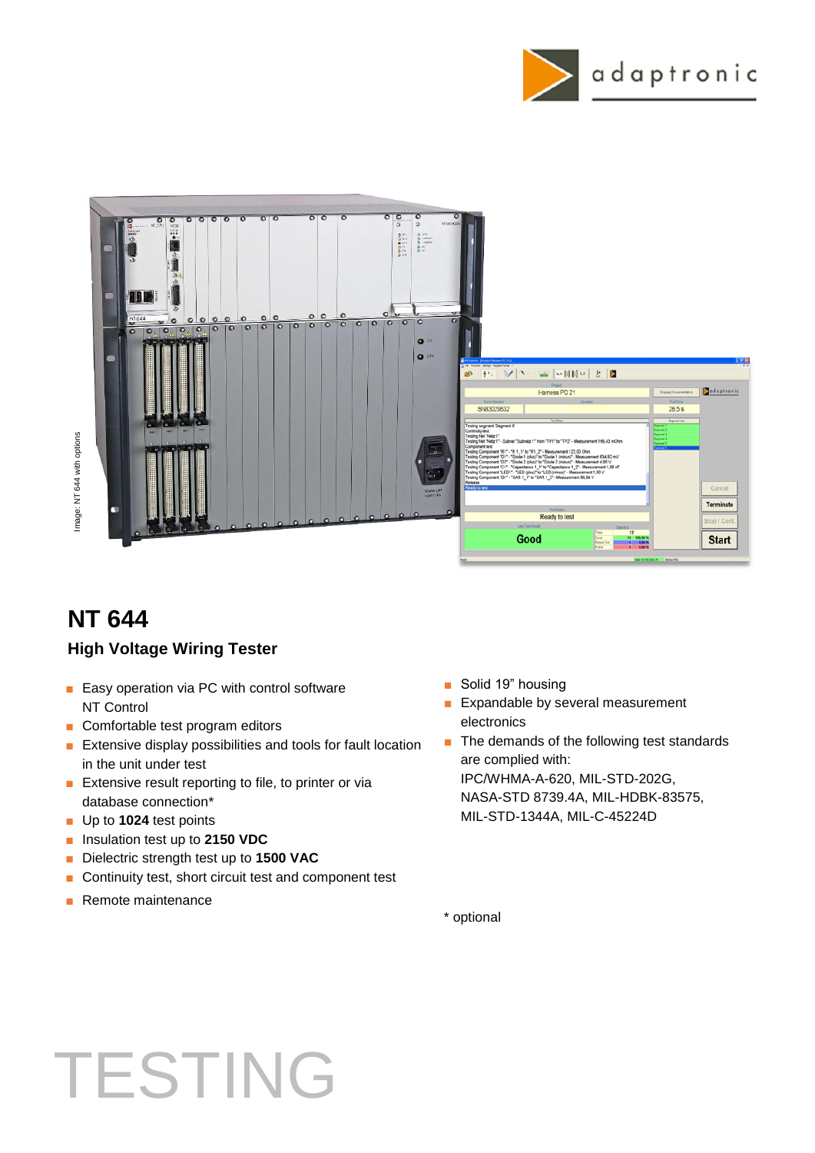



### **NT 644**

### **High Voltage Wiring Tester**

- Easy operation via PC with control software NT Control
- Comfortable test program editors
- Extensive display possibilities and tools for fault location in the unit under test
- Extensive result reporting to file, to printer or via database connection\*
- Up to **1024** test points
- Insulation test up to 2150 VDC
- Dielectric strength test up to **1500 VAC**
- Continuity test, short circuit test and component test
- Remote maintenance
- Solid 19" housing
- Expandable by several measurement electronics
- The demands of the following test standards are complied with: IPC/WHMA-A-620, MIL-STD-202G, NASA-STD 8739.4A, MIL-HDBK-83575, MIL-STD-1344A, MIL-C-45224D

\* optional

# TESTING